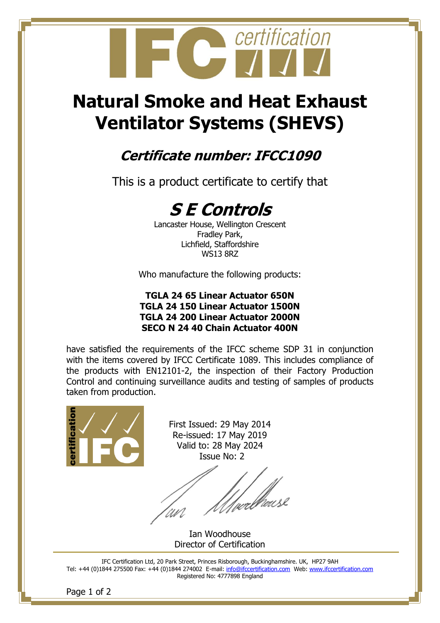

# **Natural Smoke and Heat Exhaust Ventilator Systems (SHEVS)**

## **Certificate number: IFCC1090**

This is a product certificate to certify that

## **S E Controls**

Lancaster House, Wellington Crescent Fradley Park, Lichfield, Staffordshire WS13 8RZ

Who manufacture the following products:

#### **TGLA 24 65 Linear Actuator 650N TGLA 24 150 Linear Actuator 1500N TGLA 24 200 Linear Actuator 2000N SECO N 24 40 Chain Actuator 400N**

have satisfied the requirements of the IFCC scheme SDP 31 in conjunction with the items covered by IFCC Certificate 1089. This includes compliance of the products with EN12101-2, the inspection of their Factory Production Control and continuing surveillance audits and testing of samples of products taken from production.



IFC Certification Ltd, 20 Park Street, Princes Risborough, Buckinghamshire. UK, HP27 9AH Tel: +44 (0)1844 275500 Fax: +44 (0)1844 274002 E-mail: [info@ifccertification.com](mailto:info@ifccertification.com) Web: [www.ifccertification.com](http://www.ifccertification.com/) Registered No: 4777898 England

Page 1 of 2